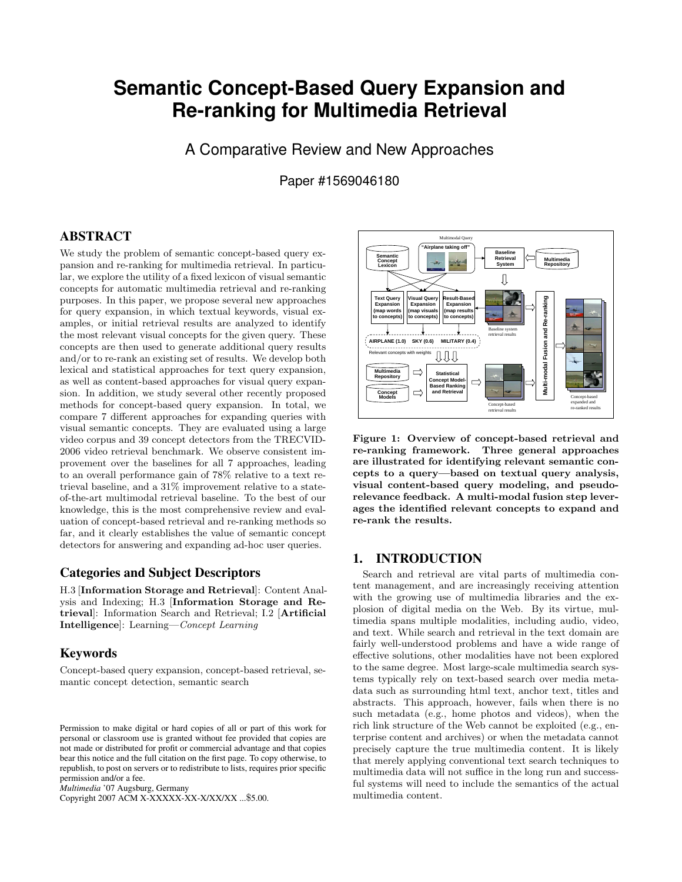# **Semantic Concept-Based Query Expansion and Re-ranking for Multimedia Retrieval**

A Comparative Review and New Approaches

Paper #1569046180

# ABSTRACT

We study the problem of semantic concept-based query expansion and re-ranking for multimedia retrieval. In particular, we explore the utility of a fixed lexicon of visual semantic concepts for automatic multimedia retrieval and re-ranking purposes. In this paper, we propose several new approaches for query expansion, in which textual keywords, visual examples, or initial retrieval results are analyzed to identify the most relevant visual concepts for the given query. These concepts are then used to generate additional query results and/or to re-rank an existing set of results. We develop both lexical and statistical approaches for text query expansion, as well as content-based approaches for visual query expansion. In addition, we study several other recently proposed methods for concept-based query expansion. In total, we compare 7 different approaches for expanding queries with visual semantic concepts. They are evaluated using a large video corpus and 39 concept detectors from the TRECVID-2006 video retrieval benchmark. We observe consistent improvement over the baselines for all 7 approaches, leading to an overall performance gain of 78% relative to a text retrieval baseline, and a 31% improvement relative to a stateof-the-art multimodal retrieval baseline. To the best of our knowledge, this is the most comprehensive review and evaluation of concept-based retrieval and re-ranking methods so far, and it clearly establishes the value of semantic concept detectors for answering and expanding ad-hoc user queries.

# Categories and Subject Descriptors

H.3 [Information Storage and Retrieval]: Content Analysis and Indexing; H.3 [Information Storage and Retrieval]: Information Search and Retrieval; I.2 [Artificial Intelligence]: Learning—Concept Learning

# Keywords

Concept-based query expansion, concept-based retrieval, semantic concept detection, semantic search

*Multimedia* '07 Augsburg, Germany

Copyright 2007 ACM X-XXXXX-XX-X/XX/XX ...\$5.00.



Figure 1: Overview of concept-based retrieval and re-ranking framework. Three general approaches are illustrated for identifying relevant semantic concepts to a query—based on textual query analysis, visual content-based query modeling, and pseudorelevance feedback. A multi-modal fusion step leverages the identified relevant concepts to expand and re-rank the results.

# 1. INTRODUCTION

Search and retrieval are vital parts of multimedia content management, and are increasingly receiving attention with the growing use of multimedia libraries and the explosion of digital media on the Web. By its virtue, multimedia spans multiple modalities, including audio, video, and text. While search and retrieval in the text domain are fairly well-understood problems and have a wide range of effective solutions, other modalities have not been explored to the same degree. Most large-scale multimedia search systems typically rely on text-based search over media metadata such as surrounding html text, anchor text, titles and abstracts. This approach, however, fails when there is no such metadata (e.g., home photos and videos), when the rich link structure of the Web cannot be exploited (e.g., enterprise content and archives) or when the metadata cannot precisely capture the true multimedia content. It is likely that merely applying conventional text search techniques to multimedia data will not suffice in the long run and successful systems will need to include the semantics of the actual multimedia content.

Permission to make digital or hard copies of all or part of this work for personal or classroom use is granted without fee provided that copies are not made or distributed for profit or commercial advantage and that copies bear this notice and the full citation on the first page. To copy otherwise, to republish, to post on servers or to redistribute to lists, requires prior specific permission and/or a fee.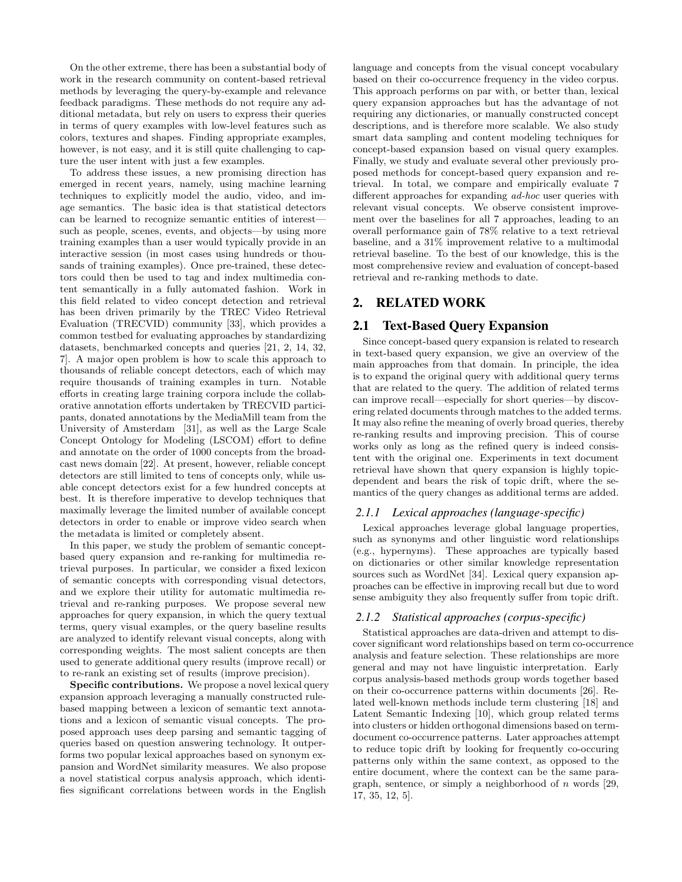On the other extreme, there has been a substantial body of work in the research community on content-based retrieval methods by leveraging the query-by-example and relevance feedback paradigms. These methods do not require any additional metadata, but rely on users to express their queries in terms of query examples with low-level features such as colors, textures and shapes. Finding appropriate examples, however, is not easy, and it is still quite challenging to capture the user intent with just a few examples.

To address these issues, a new promising direction has emerged in recent years, namely, using machine learning techniques to explicitly model the audio, video, and image semantics. The basic idea is that statistical detectors can be learned to recognize semantic entities of interest such as people, scenes, events, and objects—by using more training examples than a user would typically provide in an interactive session (in most cases using hundreds or thousands of training examples). Once pre-trained, these detectors could then be used to tag and index multimedia content semantically in a fully automated fashion. Work in this field related to video concept detection and retrieval has been driven primarily by the TREC Video Retrieval Evaluation (TRECVID) community [33], which provides a common testbed for evaluating approaches by standardizing datasets, benchmarked concepts and queries [21, 2, 14, 32, 7]. A major open problem is how to scale this approach to thousands of reliable concept detectors, each of which may require thousands of training examples in turn. Notable efforts in creating large training corpora include the collaborative annotation efforts undertaken by TRECVID participants, donated annotations by the MediaMill team from the University of Amsterdam [31], as well as the Large Scale Concept Ontology for Modeling (LSCOM) effort to define and annotate on the order of 1000 concepts from the broadcast news domain [22]. At present, however, reliable concept detectors are still limited to tens of concepts only, while usable concept detectors exist for a few hundred concepts at best. It is therefore imperative to develop techniques that maximally leverage the limited number of available concept detectors in order to enable or improve video search when the metadata is limited or completely absent.

In this paper, we study the problem of semantic conceptbased query expansion and re-ranking for multimedia retrieval purposes. In particular, we consider a fixed lexicon of semantic concepts with corresponding visual detectors, and we explore their utility for automatic multimedia retrieval and re-ranking purposes. We propose several new approaches for query expansion, in which the query textual terms, query visual examples, or the query baseline results are analyzed to identify relevant visual concepts, along with corresponding weights. The most salient concepts are then used to generate additional query results (improve recall) or to re-rank an existing set of results (improve precision).

Specific contributions. We propose a novel lexical query expansion approach leveraging a manually constructed rulebased mapping between a lexicon of semantic text annotations and a lexicon of semantic visual concepts. The proposed approach uses deep parsing and semantic tagging of queries based on question answering technology. It outperforms two popular lexical approaches based on synonym expansion and WordNet similarity measures. We also propose a novel statistical corpus analysis approach, which identifies significant correlations between words in the English

language and concepts from the visual concept vocabulary based on their co-occurrence frequency in the video corpus. This approach performs on par with, or better than, lexical query expansion approaches but has the advantage of not requiring any dictionaries, or manually constructed concept descriptions, and is therefore more scalable. We also study smart data sampling and content modeling techniques for concept-based expansion based on visual query examples. Finally, we study and evaluate several other previously proposed methods for concept-based query expansion and retrieval. In total, we compare and empirically evaluate 7 different approaches for expanding ad-hoc user queries with relevant visual concepts. We observe consistent improvement over the baselines for all 7 approaches, leading to an overall performance gain of 78% relative to a text retrieval baseline, and a 31% improvement relative to a multimodal retrieval baseline. To the best of our knowledge, this is the most comprehensive review and evaluation of concept-based retrieval and re-ranking methods to date.

# 2. RELATED WORK

# 2.1 Text-Based Query Expansion

Since concept-based query expansion is related to research in text-based query expansion, we give an overview of the main approaches from that domain. In principle, the idea is to expand the original query with additional query terms that are related to the query. The addition of related terms can improve recall—especially for short queries—by discovering related documents through matches to the added terms. It may also refine the meaning of overly broad queries, thereby re-ranking results and improving precision. This of course works only as long as the refined query is indeed consistent with the original one. Experiments in text document retrieval have shown that query expansion is highly topicdependent and bears the risk of topic drift, where the semantics of the query changes as additional terms are added.

#### *2.1.1 Lexical approaches (language-specific)*

Lexical approaches leverage global language properties, such as synonyms and other linguistic word relationships (e.g., hypernyms). These approaches are typically based on dictionaries or other similar knowledge representation sources such as WordNet [34]. Lexical query expansion approaches can be effective in improving recall but due to word sense ambiguity they also frequently suffer from topic drift.

#### *2.1.2 Statistical approaches (corpus-specific)*

Statistical approaches are data-driven and attempt to discover significant word relationships based on term co-occurrence analysis and feature selection. These relationships are more general and may not have linguistic interpretation. Early corpus analysis-based methods group words together based on their co-occurrence patterns within documents [26]. Related well-known methods include term clustering [18] and Latent Semantic Indexing [10], which group related terms into clusters or hidden orthogonal dimensions based on termdocument co-occurrence patterns. Later approaches attempt to reduce topic drift by looking for frequently co-occuring patterns only within the same context, as opposed to the entire document, where the context can be the same paragraph, sentence, or simply a neighborhood of  $n$  words [29, 17, 35, 12, 5].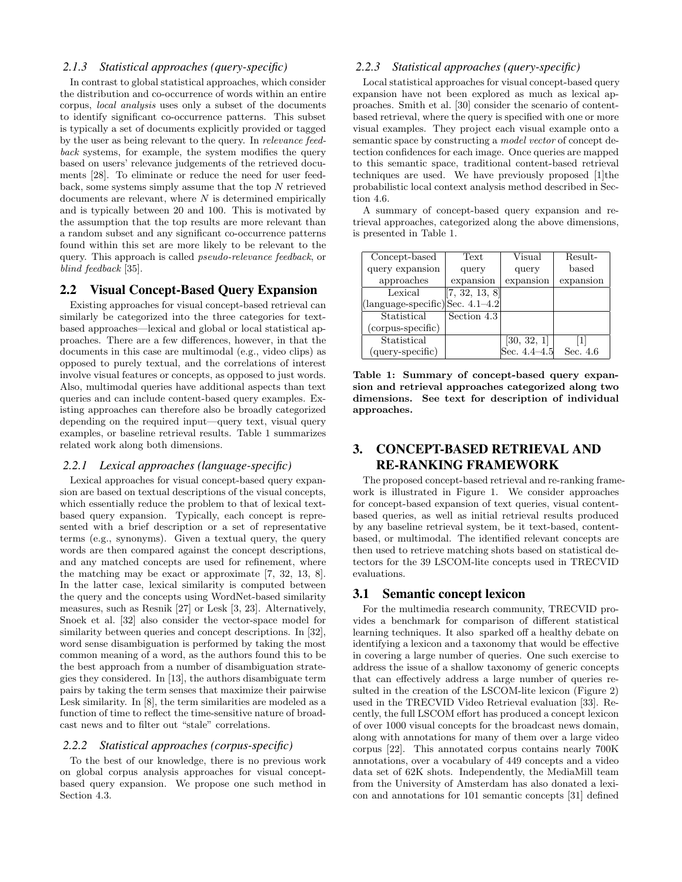# *2.1.3 Statistical approaches (query-specific)*

In contrast to global statistical approaches, which consider the distribution and co-occurrence of words within an entire corpus, local analysis uses only a subset of the documents to identify significant co-occurrence patterns. This subset is typically a set of documents explicitly provided or tagged by the user as being relevant to the query. In relevance feedback systems, for example, the system modifies the query based on users' relevance judgements of the retrieved documents [28]. To eliminate or reduce the need for user feedback, some systems simply assume that the top N retrieved documents are relevant, where  $N$  is determined empirically and is typically between 20 and 100. This is motivated by the assumption that the top results are more relevant than a random subset and any significant co-occurrence patterns found within this set are more likely to be relevant to the query. This approach is called pseudo-relevance feedback, or blind feedback [35].

# 2.2 Visual Concept-Based Query Expansion

Existing approaches for visual concept-based retrieval can similarly be categorized into the three categories for textbased approaches—lexical and global or local statistical approaches. There are a few differences, however, in that the documents in this case are multimodal (e.g., video clips) as opposed to purely textual, and the correlations of interest involve visual features or concepts, as opposed to just words. Also, multimodal queries have additional aspects than text queries and can include content-based query examples. Existing approaches can therefore also be broadly categorized depending on the required input—query text, visual query examples, or baseline retrieval results. Table 1 summarizes related work along both dimensions.

# *2.2.1 Lexical approaches (language-specific)*

Lexical approaches for visual concept-based query expansion are based on textual descriptions of the visual concepts, which essentially reduce the problem to that of lexical textbased query expansion. Typically, each concept is represented with a brief description or a set of representative terms (e.g., synonyms). Given a textual query, the query words are then compared against the concept descriptions, and any matched concepts are used for refinement, where the matching may be exact or approximate [7, 32, 13, 8]. In the latter case, lexical similarity is computed between the query and the concepts using WordNet-based similarity measures, such as Resnik [27] or Lesk [3, 23]. Alternatively, Snoek et al. [32] also consider the vector-space model for similarity between queries and concept descriptions. In [32], word sense disambiguation is performed by taking the most common meaning of a word, as the authors found this to be the best approach from a number of disambiguation strategies they considered. In [13], the authors disambiguate term pairs by taking the term senses that maximize their pairwise Lesk similarity. In [8], the term similarities are modeled as a function of time to reflect the time-sensitive nature of broadcast news and to filter out "stale" correlations.

#### *2.2.2 Statistical approaches (corpus-specific)*

To the best of our knowledge, there is no previous work on global corpus analysis approaches for visual conceptbased query expansion. We propose one such method in Section 4.3.

# *2.2.3 Statistical approaches (query-specific)*

Local statistical approaches for visual concept-based query expansion have not been explored as much as lexical approaches. Smith et al. [30] consider the scenario of contentbased retrieval, where the query is specified with one or more visual examples. They project each visual example onto a semantic space by constructing a model vector of concept detection confidences for each image. Once queries are mapped to this semantic space, traditional content-based retrieval techniques are used. We have previously proposed [1]the probabilistic local context analysis method described in Section 4.6.

A summary of concept-based query expansion and retrieval approaches, categorized along the above dimensions, is presented in Table 1.

| Concept-based                                      | Text           | Visual                                                            | Result-   |
|----------------------------------------------------|----------------|-------------------------------------------------------------------|-----------|
| query expansion                                    | query          | query                                                             | based     |
| approaches                                         | expansion      | expansion                                                         | expansion |
| Lexical                                            | [7, 32, 13, 8] |                                                                   |           |
| $\langle$ language-specific $\rangle$ Sec. 4.1–4.2 |                |                                                                   |           |
| Statistical                                        | Section 4.3    |                                                                   |           |
| (corpus-specific)                                  |                |                                                                   |           |
| Statistical                                        |                | $\begin{bmatrix} 30, 32, 1 \\ \text{Sec. } 4.4-4.5 \end{bmatrix}$ |           |
| (query-specific)                                   |                |                                                                   | Sec. 4.6  |

Table 1: Summary of concept-based query expansion and retrieval approaches categorized along two dimensions. See text for description of individual approaches.

# 3. CONCEPT-BASED RETRIEVAL AND RE-RANKING FRAMEWORK

The proposed concept-based retrieval and re-ranking framework is illustrated in Figure 1. We consider approaches for concept-based expansion of text queries, visual contentbased queries, as well as initial retrieval results produced by any baseline retrieval system, be it text-based, contentbased, or multimodal. The identified relevant concepts are then used to retrieve matching shots based on statistical detectors for the 39 LSCOM-lite concepts used in TRECVID evaluations.

# 3.1 Semantic concept lexicon

For the multimedia research community, TRECVID provides a benchmark for comparison of different statistical learning techniques. It also sparked off a healthy debate on identifying a lexicon and a taxonomy that would be effective in covering a large number of queries. One such exercise to address the issue of a shallow taxonomy of generic concepts that can effectively address a large number of queries resulted in the creation of the LSCOM-lite lexicon (Figure 2) used in the TRECVID Video Retrieval evaluation [33]. Recently, the full LSCOM effort has produced a concept lexicon of over 1000 visual concepts for the broadcast news domain, along with annotations for many of them over a large video corpus [22]. This annotated corpus contains nearly 700K annotations, over a vocabulary of 449 concepts and a video data set of 62K shots. Independently, the MediaMill team from the University of Amsterdam has also donated a lexicon and annotations for 101 semantic concepts [31] defined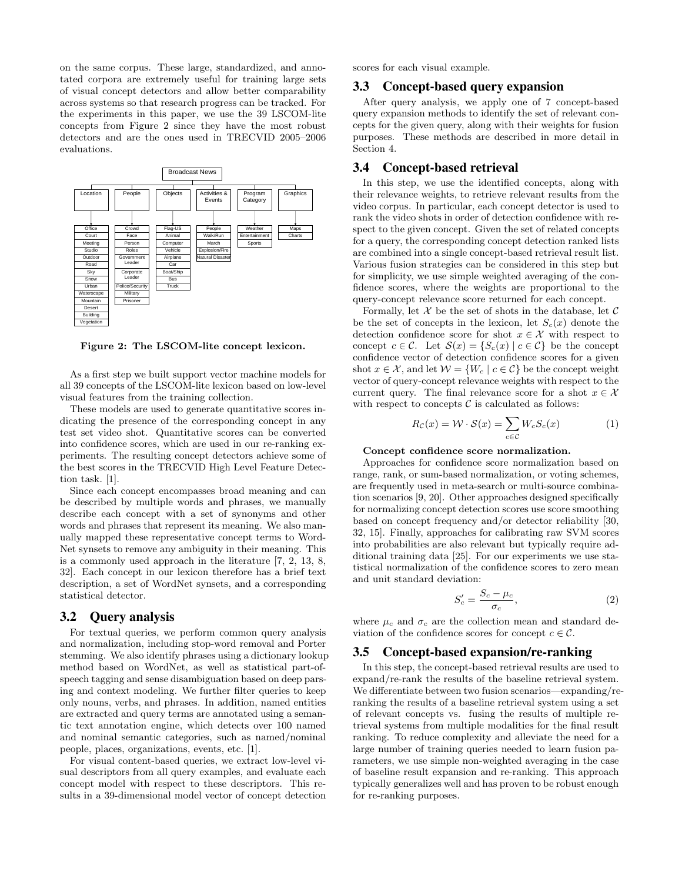on the same corpus. These large, standardized, and annotated corpora are extremely useful for training large sets of visual concept detectors and allow better comparability across systems so that research progress can be tracked. For the experiments in this paper, we use the 39 LSCOM-lite concepts from Figure 2 since they have the most robust detectors and are the ones used in TRECVID 2005–2006 evaluations.



Figure 2: The LSCOM-lite concept lexicon.

As a first step we built support vector machine models for all 39 concepts of the LSCOM-lite lexicon based on low-level visual features from the training collection.

These models are used to generate quantitative scores indicating the presence of the corresponding concept in any test set video shot. Quantitative scores can be converted into confidence scores, which are used in our re-ranking experiments. The resulting concept detectors achieve some of the best scores in the TRECVID High Level Feature Detection task. [1].

Since each concept encompasses broad meaning and can be described by multiple words and phrases, we manually describe each concept with a set of synonyms and other words and phrases that represent its meaning. We also manually mapped these representative concept terms to Word-Net synsets to remove any ambiguity in their meaning. This is a commonly used approach in the literature [7, 2, 13, 8, 32]. Each concept in our lexicon therefore has a brief text description, a set of WordNet synsets, and a corresponding statistical detector.

# 3.2 Query analysis

For textual queries, we perform common query analysis and normalization, including stop-word removal and Porter stemming. We also identify phrases using a dictionary lookup method based on WordNet, as well as statistical part-ofspeech tagging and sense disambiguation based on deep parsing and context modeling. We further filter queries to keep only nouns, verbs, and phrases. In addition, named entities are extracted and query terms are annotated using a semantic text annotation engine, which detects over 100 named and nominal semantic categories, such as named/nominal people, places, organizations, events, etc. [1].

For visual content-based queries, we extract low-level visual descriptors from all query examples, and evaluate each concept model with respect to these descriptors. This results in a 39-dimensional model vector of concept detection scores for each visual example.

#### 3.3 Concept-based query expansion

After query analysis, we apply one of 7 concept-based query expansion methods to identify the set of relevant concepts for the given query, along with their weights for fusion purposes. These methods are described in more detail in Section 4.

# 3.4 Concept-based retrieval

In this step, we use the identified concepts, along with their relevance weights, to retrieve relevant results from the video corpus. In particular, each concept detector is used to rank the video shots in order of detection confidence with respect to the given concept. Given the set of related concepts for a query, the corresponding concept detection ranked lists are combined into a single concept-based retrieval result list. Various fusion strategies can be considered in this step but for simplicity, we use simple weighted averaging of the confidence scores, where the weights are proportional to the query-concept relevance score returned for each concept.

Formally, let  $X$  be the set of shots in the database, let  $C$ be the set of concepts in the lexicon, let  $S_c(x)$  denote the detection confidence score for shot  $x \in \mathcal{X}$  with respect to concept  $c \in \mathcal{C}$ . Let  $\mathcal{S}(x) = \{S_c(x) | c \in \mathcal{C}\}\)$  be the concept confidence vector of detection confidence scores for a given shot  $x \in \mathcal{X}$ , and let  $\mathcal{W} = \{W_c \mid c \in \mathcal{C}\}\$ be the concept weight vector of query-concept relevance weights with respect to the current query. The final relevance score for a shot  $x \in \mathcal{X}$ with respect to concepts  $\mathcal C$  is calculated as follows:

$$
R_{\mathcal{C}}(x) = \mathcal{W} \cdot \mathcal{S}(x) = \sum_{c \in \mathcal{C}} W_c S_c(x) \tag{1}
$$

#### Concept confidence score normalization.

Approaches for confidence score normalization based on range, rank, or sum-based normalization, or voting schemes, are frequently used in meta-search or multi-source combination scenarios [9, 20]. Other approaches designed specifically for normalizing concept detection scores use score smoothing based on concept frequency and/or detector reliability [30, 32, 15]. Finally, approaches for calibrating raw SVM scores into probabilities are also relevant but typically require additional training data [25]. For our experiments we use statistical normalization of the confidence scores to zero mean and unit standard deviation:

$$
S_c' = \frac{S_c - \mu_c}{\sigma_c},\tag{2}
$$

where  $\mu_c$  and  $\sigma_c$  are the collection mean and standard deviation of the confidence scores for concept  $c \in \mathcal{C}$ .

#### 3.5 Concept-based expansion/re-ranking

In this step, the concept-based retrieval results are used to expand/re-rank the results of the baseline retrieval system. We differentiate between two fusion scenarios—expanding/reranking the results of a baseline retrieval system using a set of relevant concepts vs. fusing the results of multiple retrieval systems from multiple modalities for the final result ranking. To reduce complexity and alleviate the need for a large number of training queries needed to learn fusion parameters, we use simple non-weighted averaging in the case of baseline result expansion and re-ranking. This approach typically generalizes well and has proven to be robust enough for re-ranking purposes.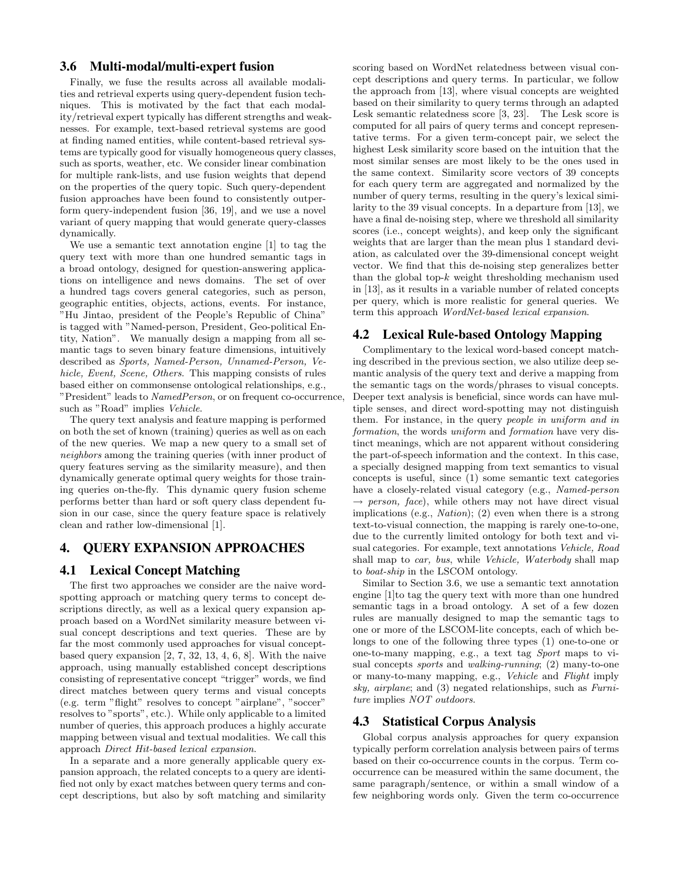# 3.6 Multi-modal/multi-expert fusion

Finally, we fuse the results across all available modalities and retrieval experts using query-dependent fusion techniques. This is motivated by the fact that each modality/retrieval expert typically has different strengths and weaknesses. For example, text-based retrieval systems are good at finding named entities, while content-based retrieval systems are typically good for visually homogeneous query classes, such as sports, weather, etc. We consider linear combination for multiple rank-lists, and use fusion weights that depend on the properties of the query topic. Such query-dependent fusion approaches have been found to consistently outperform query-independent fusion [36, 19], and we use a novel variant of query mapping that would generate query-classes dynamically.

We use a semantic text annotation engine [1] to tag the query text with more than one hundred semantic tags in a broad ontology, designed for question-answering applications on intelligence and news domains. The set of over a hundred tags covers general categories, such as person, geographic entities, objects, actions, events. For instance, "Hu Jintao, president of the People's Republic of China" is tagged with "Named-person, President, Geo-political Entity, Nation". We manually design a mapping from all semantic tags to seven binary feature dimensions, intuitively described as Sports, Named-Person, Unnamed-Person, Vehicle, Event, Scene, Others. This mapping consists of rules based either on commonsense ontological relationships, e.g., "President" leads to NamedPerson, or on frequent co-occurrence, such as "Road" implies Vehicle.

The query text analysis and feature mapping is performed on both the set of known (training) queries as well as on each of the new queries. We map a new query to a small set of neighbors among the training queries (with inner product of query features serving as the similarity measure), and then dynamically generate optimal query weights for those training queries on-the-fly. This dynamic query fusion scheme performs better than hard or soft query class dependent fusion in our case, since the query feature space is relatively clean and rather low-dimensional [1].

# 4. QUERY EXPANSION APPROACHES

# 4.1 Lexical Concept Matching

The first two approaches we consider are the naive wordspotting approach or matching query terms to concept descriptions directly, as well as a lexical query expansion approach based on a WordNet similarity measure between visual concept descriptions and text queries. These are by far the most commonly used approaches for visual conceptbased query expansion [2, 7, 32, 13, 4, 6, 8]. With the naive approach, using manually established concept descriptions consisting of representative concept "trigger" words, we find direct matches between query terms and visual concepts (e.g. term "flight" resolves to concept "airplane", "soccer" resolves to "sports", etc.). While only applicable to a limited number of queries, this approach produces a highly accurate mapping between visual and textual modalities. We call this approach Direct Hit-based lexical expansion.

In a separate and a more generally applicable query expansion approach, the related concepts to a query are identified not only by exact matches between query terms and concept descriptions, but also by soft matching and similarity scoring based on WordNet relatedness between visual concept descriptions and query terms. In particular, we follow the approach from [13], where visual concepts are weighted based on their similarity to query terms through an adapted Lesk semantic relatedness score [3, 23]. The Lesk score is computed for all pairs of query terms and concept representative terms. For a given term-concept pair, we select the highest Lesk similarity score based on the intuition that the most similar senses are most likely to be the ones used in the same context. Similarity score vectors of 39 concepts for each query term are aggregated and normalized by the number of query terms, resulting in the query's lexical similarity to the 39 visual concepts. In a departure from [13], we have a final de-noising step, where we threshold all similarity scores (i.e., concept weights), and keep only the significant weights that are larger than the mean plus 1 standard deviation, as calculated over the 39-dimensional concept weight vector. We find that this de-noising step generalizes better than the global top- $k$  weight thresholding mechanism used in [13], as it results in a variable number of related concepts per query, which is more realistic for general queries. We term this approach WordNet-based lexical expansion.

# 4.2 Lexical Rule-based Ontology Mapping

Complimentary to the lexical word-based concept matching described in the previous section, we also utilize deep semantic analysis of the query text and derive a mapping from the semantic tags on the words/phrases to visual concepts. Deeper text analysis is beneficial, since words can have multiple senses, and direct word-spotting may not distinguish them. For instance, in the query people in uniform and in formation, the words uniform and formation have very distinct meanings, which are not apparent without considering the part-of-speech information and the context. In this case, a specially designed mapping from text semantics to visual concepts is useful, since (1) some semantic text categories have a closely-related visual category (e.g., Named-person  $\rightarrow$  person, face), while others may not have direct visual implications (e.g., Nation); (2) even when there is a strong text-to-visual connection, the mapping is rarely one-to-one, due to the currently limited ontology for both text and visual categories. For example, text annotations Vehicle, Road shall map to car, bus, while Vehicle, Waterbody shall map to boat-ship in the LSCOM ontology.

Similar to Section 3.6, we use a semantic text annotation engine [1]to tag the query text with more than one hundred semantic tags in a broad ontology. A set of a few dozen rules are manually designed to map the semantic tags to one or more of the LSCOM-lite concepts, each of which belongs to one of the following three types (1) one-to-one or one-to-many mapping, e.g., a text tag Sport maps to visual concepts *sports* and *walking-running*; (2) many-to-one or many-to-many mapping, e.g., Vehicle and Flight imply sky, airplane; and (3) negated relationships, such as Furniture implies NOT outdoors.

# 4.3 Statistical Corpus Analysis

Global corpus analysis approaches for query expansion typically perform correlation analysis between pairs of terms based on their co-occurrence counts in the corpus. Term cooccurrence can be measured within the same document, the same paragraph/sentence, or within a small window of a few neighboring words only. Given the term co-occurrence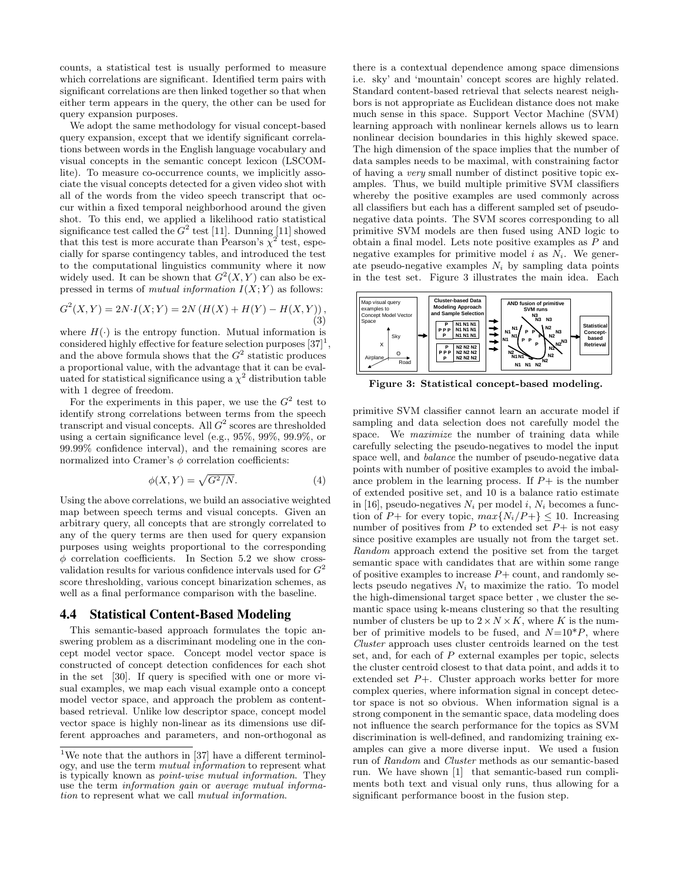counts, a statistical test is usually performed to measure which correlations are significant. Identified term pairs with significant correlations are then linked together so that when either term appears in the query, the other can be used for query expansion purposes.

We adopt the same methodology for visual concept-based query expansion, except that we identify significant correlations between words in the English language vocabulary and visual concepts in the semantic concept lexicon (LSCOMlite). To measure co-occurrence counts, we implicitly associate the visual concepts detected for a given video shot with all of the words from the video speech transcript that occur within a fixed temporal neighborhood around the given shot. To this end, we applied a likelihood ratio statistical significance test called the  $G^2$  test [11]. Dunning [11] showed that this test is more accurate than Pearson's  $\chi^2$  test, especially for sparse contingency tables, and introduced the test to the computational linguistics community where it now widely used. It can be shown that  $G<sup>2</sup>(X, Y)$  can also be expressed in terms of mutual information  $I(X; Y)$  as follows:

$$
G^{2}(X,Y) = 2N \cdot I(X;Y) = 2N \left( H(X) + H(Y) - H(X,Y) \right),\tag{3}
$$

where  $H(\cdot)$  is the entropy function. Mutual information is considered highly effective for feature selection purposes  $[37]^1$ , and the above formula shows that the  $G<sup>2</sup>$  statistic produces a proportional value, with the advantage that it can be evaluated for statistical significance using a  $\chi^2$  distribution table with 1 degree of freedom.

For the experiments in this paper, we use the  $G^2$  test to identify strong correlations between terms from the speech transcript and visual concepts. All  $G^2$  scores are thresholded using a certain significance level (e.g., 95%, 99%, 99.9%, or 99.99% confidence interval), and the remaining scores are normalized into Cramer's  $\phi$  correlation coefficients:

$$
\phi(X, Y) = \sqrt{G^2/N}.\tag{4}
$$

Using the above correlations, we build an associative weighted map between speech terms and visual concepts. Given an arbitrary query, all concepts that are strongly correlated to any of the query terms are then used for query expansion purposes using weights proportional to the corresponding  $\phi$  correlation coefficients. In Section 5.2 we show crossvalidation results for various confidence intervals used for  $G^2$ score thresholding, various concept binarization schemes, as well as a final performance comparison with the baseline.

#### 4.4 Statistical Content-Based Modeling

This semantic-based approach formulates the topic answering problem as a discriminant modeling one in the concept model vector space. Concept model vector space is constructed of concept detection confidences for each shot in the set [30]. If query is specified with one or more visual examples, we map each visual example onto a concept model vector space, and approach the problem as contentbased retrieval. Unlike low descriptor space, concept model vector space is highly non-linear as its dimensions use different approaches and parameters, and non-orthogonal as there is a contextual dependence among space dimensions i.e. sky' and 'mountain' concept scores are highly related. Standard content-based retrieval that selects nearest neighbors is not appropriate as Euclidean distance does not make much sense in this space. Support Vector Machine (SVM) learning approach with nonlinear kernels allows us to learn nonlinear decision boundaries in this highly skewed space. The high dimension of the space implies that the number of data samples needs to be maximal, with constraining factor of having a very small number of distinct positive topic examples. Thus, we build multiple primitive SVM classifiers whereby the positive examples are used commonly across all classifiers but each has a different sampled set of pseudonegative data points. The SVM scores corresponding to all primitive SVM models are then fused using AND logic to obtain a final model. Lets note positive examples as P and negative examples for primitive model i as  $N_i$ . We generate pseudo-negative examples  $N_i$  by sampling data points in the test set. Figure 3 illustrates the main idea. Each



Figure 3: Statistical concept-based modeling.

primitive SVM classifier cannot learn an accurate model if sampling and data selection does not carefully model the space. We maximize the number of training data while carefully selecting the pseudo-negatives to model the input space well, and balance the number of pseudo-negative data points with number of positive examples to avoid the imbalance problem in the learning process. If  $P+$  is the number of extended positive set, and 10 is a balance ratio estimate in [16], pseudo-negatives  $N_i$  per model i,  $N_i$  becomes a function of  $P+$  for every topic,  $max\{N_i/P+\}\leq 10$ . Increasing number of positives from  $P$  to extended set  $P+$  is not easy since positive examples are usually not from the target set. Random approach extend the positive set from the target semantic space with candidates that are within some range of positive examples to increase  $P+$  count, and randomly selects pseudo negatives  $N_i$  to maximize the ratio. To model the high-dimensional target space better , we cluster the semantic space using k-means clustering so that the resulting number of clusters be up to  $2 \times N \times K$ , where K is the number of primitive models to be fused, and  $N=10^*P$ , where Cluster approach uses cluster centroids learned on the test set, and, for each of P external examples per topic, selects the cluster centroid closest to that data point, and adds it to extended set  $P+$ . Cluster approach works better for more complex queries, where information signal in concept detector space is not so obvious. When information signal is a strong component in the semantic space, data modeling does not influence the search performance for the topics as SVM discrimination is well-defined, and randomizing training examples can give a more diverse input. We used a fusion run of Random and Cluster methods as our semantic-based run. We have shown [1] that semantic-based run compliments both text and visual only runs, thus allowing for a significant performance boost in the fusion step.

<sup>&</sup>lt;sup>1</sup>We note that the authors in [37] have a different terminology, and use the term mutual information to represent what is typically known as point-wise mutual information. They use the term information gain or average mutual information to represent what we call mutual information.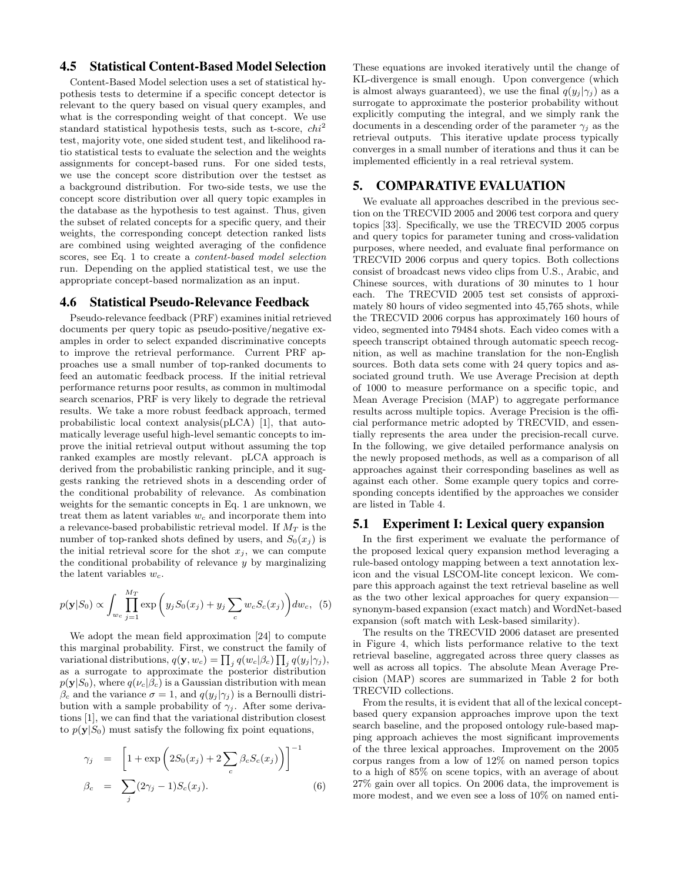# 4.5 Statistical Content-Based Model Selection

Content-Based Model selection uses a set of statistical hypothesis tests to determine if a specific concept detector is relevant to the query based on visual query examples, and what is the corresponding weight of that concept. We use standard statistical hypothesis tests, such as t-score,  $chi<sup>2</sup>$ test, majority vote, one sided student test, and likelihood ratio statistical tests to evaluate the selection and the weights assignments for concept-based runs. For one sided tests, we use the concept score distribution over the testset as a background distribution. For two-side tests, we use the concept score distribution over all query topic examples in the database as the hypothesis to test against. Thus, given the subset of related concepts for a specific query, and their weights, the corresponding concept detection ranked lists are combined using weighted averaging of the confidence scores, see Eq. 1 to create a content-based model selection run. Depending on the applied statistical test, we use the appropriate concept-based normalization as an input.

#### 4.6 Statistical Pseudo-Relevance Feedback

Pseudo-relevance feedback (PRF) examines initial retrieved documents per query topic as pseudo-positive/negative examples in order to select expanded discriminative concepts to improve the retrieval performance. Current PRF approaches use a small number of top-ranked documents to feed an automatic feedback process. If the initial retrieval performance returns poor results, as common in multimodal search scenarios, PRF is very likely to degrade the retrieval results. We take a more robust feedback approach, termed probabilistic local context analysis(pLCA) [1], that automatically leverage useful high-level semantic concepts to improve the initial retrieval output without assuming the top ranked examples are mostly relevant. pLCA approach is derived from the probabilistic ranking principle, and it suggests ranking the retrieved shots in a descending order of the conditional probability of relevance. As combination weights for the semantic concepts in Eq. 1 are unknown, we treat them as latent variables  $w_c$  and incorporate them into a relevance-based probabilistic retrieval model. If  $M_T$  is the number of top-ranked shots defined by users, and  $S_0(x_j)$  is the initial retrieval score for the shot  $x_i$ , we can compute the conditional probability of relevance  $y$  by marginalizing the latent variables  $w_c$ .

$$
p(\mathbf{y}|S_0) \propto \int_{w_c} \prod_{j=1}^{M_T} \exp\left(y_j S_0(x_j) + y_j \sum_c w_c S_c(x_j)\right) dw_c
$$
, (5)

We adopt the mean field approximation [24] to compute this marginal probability. First, we construct the family of this marginal probability. First, we construct the family of<br>variational distributions,  $q(y, w_c) = \prod_j q(w_c | \beta_c) \prod_j q(y_j | \gamma_j)$ , as a surrogate to approximate the posterior distribution  $p(\mathbf{y}|S_0)$ , where  $q(\nu_c|\beta_c)$  is a Gaussian distribution with mean  $\beta_c$  and the variance  $\sigma = 1$ , and  $q(y_j | \gamma_j)$  is a Bernoulli distribution with a sample probability of  $\gamma_i$ . After some derivations [1], we can find that the variational distribution closest to  $p(\mathbf{y}|S_0)$  must satisfy the following fix point equations,

$$
\gamma_j = \left[1 + \exp\left(2S_0(x_j) + 2\sum_c \beta_c S_c(x_j)\right)\right]^{-1}
$$
  

$$
\beta_c = \sum_j (2\gamma_j - 1)S_c(x_j).
$$
 (6)

These equations are invoked iteratively until the change of KL-divergence is small enough. Upon convergence (which is almost always guaranteed), we use the final  $q(y_i | \gamma_i)$  as a surrogate to approximate the posterior probability without explicitly computing the integral, and we simply rank the documents in a descending order of the parameter  $\gamma_i$  as the retrieval outputs. This iterative update process typically converges in a small number of iterations and thus it can be implemented efficiently in a real retrieval system.

# 5. COMPARATIVE EVALUATION

We evaluate all approaches described in the previous section on the TRECVID 2005 and 2006 test corpora and query topics [33]. Specifically, we use the TRECVID 2005 corpus and query topics for parameter tuning and cross-validation purposes, where needed, and evaluate final performance on TRECVID 2006 corpus and query topics. Both collections consist of broadcast news video clips from U.S., Arabic, and Chinese sources, with durations of 30 minutes to 1 hour each. The TRECVID 2005 test set consists of approximately 80 hours of video segmented into 45,765 shots, while the TRECVID 2006 corpus has approximately 160 hours of video, segmented into 79484 shots. Each video comes with a speech transcript obtained through automatic speech recognition, as well as machine translation for the non-English sources. Both data sets come with 24 query topics and associated ground truth. We use Average Precision at depth of 1000 to measure performance on a specific topic, and Mean Average Precision (MAP) to aggregate performance results across multiple topics. Average Precision is the official performance metric adopted by TRECVID, and essentially represents the area under the precision-recall curve. In the following, we give detailed performance analysis on the newly proposed methods, as well as a comparison of all approaches against their corresponding baselines as well as against each other. Some example query topics and corresponding concepts identified by the approaches we consider are listed in Table 4.

# 5.1 Experiment I: Lexical query expansion

In the first experiment we evaluate the performance of the proposed lexical query expansion method leveraging a rule-based ontology mapping between a text annotation lexicon and the visual LSCOM-lite concept lexicon. We compare this approach against the text retrieval baseline as well as the two other lexical approaches for query expansion synonym-based expansion (exact match) and WordNet-based expansion (soft match with Lesk-based similarity).

The results on the TRECVID 2006 dataset are presented in Figure 4, which lists performance relative to the text retrieval baseline, aggregated across three query classes as well as across all topics. The absolute Mean Average Precision (MAP) scores are summarized in Table 2 for both TRECVID collections.

From the results, it is evident that all of the lexical conceptbased query expansion approaches improve upon the text search baseline, and the proposed ontology rule-based mapping approach achieves the most significant improvements of the three lexical approaches. Improvement on the 2005 corpus ranges from a low of 12% on named person topics to a high of 85% on scene topics, with an average of about 27% gain over all topics. On 2006 data, the improvement is more modest, and we even see a loss of 10% on named enti-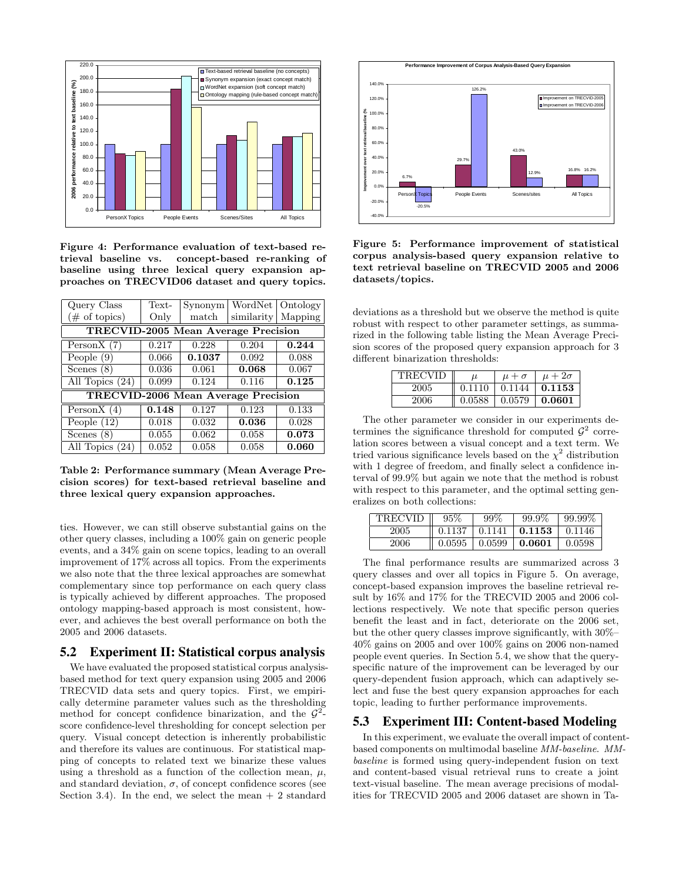

Figure 4: Performance evaluation of text-based retrieval baseline vs. concept-based re-ranking of baseline using three lexical query expansion approaches on TRECVID06 dataset and query topics.

| Query Class                                | Text- | Synonym | WordNet   Ontology |         |  |
|--------------------------------------------|-------|---------|--------------------|---------|--|
| $(\text{\# of topics})$                    | Only  | match   | similarity         | Mapping |  |
| <b>TRECVID-2005 Mean Average Precision</b> |       |         |                    |         |  |
| Person $X(7)$                              | 0.217 | 0.228   | 0.204              | 0.244   |  |
| People $(9)$                               | 0.066 | 0.1037  | 0.092              | 0.088   |  |
| Scenes $(8)$                               | 0.036 | 0.061   | 0.068              | 0.067   |  |
| All Topics $(24)$                          | 0.099 | 0.124   | 0.116              | 0.125   |  |
| TRECVID-2006 Mean Average Precision        |       |         |                    |         |  |
| Person $X(4)$                              | 0.148 | 0.127   | 0.123              | 0.133   |  |
| People $(12)$                              | 0.018 | 0.032   | 0.036              | 0.028   |  |
| Scenes $(8)$                               | 0.055 | 0.062   | 0.058              | 0.073   |  |
| All Topics<br>(24)                         | 0.052 | 0.058   | 0.058              | 0.060   |  |

Table 2: Performance summary (Mean Average Precision scores) for text-based retrieval baseline and three lexical query expansion approaches.

ties. However, we can still observe substantial gains on the other query classes, including a 100% gain on generic people events, and a 34% gain on scene topics, leading to an overall improvement of 17% across all topics. From the experiments we also note that the three lexical approaches are somewhat complementary since top performance on each query class is typically achieved by different approaches. The proposed ontology mapping-based approach is most consistent, however, and achieves the best overall performance on both the 2005 and 2006 datasets.

# 5.2 Experiment II: Statistical corpus analysis

We have evaluated the proposed statistical corpus analysisbased method for text query expansion using 2005 and 2006 TRECVID data sets and query topics. First, we empirically determine parameter values such as the thresholding method for concept confidence binarization, and the  $\mathcal{G}^2$ score confidence-level thresholding for concept selection per query. Visual concept detection is inherently probabilistic and therefore its values are continuous. For statistical mapping of concepts to related text we binarize these values using a threshold as a function of the collection mean,  $\mu$ , and standard deviation,  $\sigma$ , of concept confidence scores (see Section 3.4). In the end, we select the mean  $+2$  standard



Figure 5: Performance improvement of statistical corpus analysis-based query expansion relative to text retrieval baseline on TRECVID 2005 and 2006 datasets/topics.

deviations as a threshold but we observe the method is quite robust with respect to other parameter settings, as summarized in the following table listing the Mean Average Precision scores of the proposed query expansion approach for 3 different binarization thresholds:

| <b>TRECVID</b> |        |        | $2\sigma$<br>11, |
|----------------|--------|--------|------------------|
| 2005           | 0.1110 | 0.1144 | 0.1153           |
| 2006           | 0.0588 | 0.0579 | $\,0.0601\,$     |

The other parameter we consider in our experiments determines the significance threshold for computed  $\mathcal{G}^2$  correlation scores between a visual concept and a text term. We tried various significance levels based on the  $\chi^2$  distribution with 1 degree of freedom, and finally select a confidence interval of 99.9% but again we note that the method is robust with respect to this parameter, and the optimal setting generalizes on both collections:

| TRECVID | 95%    | $99\%$        | 99.9%        | 99.99% |
|---------|--------|---------------|--------------|--------|
| 2005    | 0.1137 | $0.1141$ .    | $\pm 0.1153$ | 0.1146 |
| 2006    | 0.0595 | $\mid 0.0599$ | $\pm 0.0601$ | 0.0598 |

The final performance results are summarized across 3 query classes and over all topics in Figure 5. On average, concept-based expansion improves the baseline retrieval result by 16% and 17% for the TRECVID 2005 and 2006 collections respectively. We note that specific person queries benefit the least and in fact, deteriorate on the 2006 set, but the other query classes improve significantly, with 30%– 40% gains on 2005 and over 100% gains on 2006 non-named people event queries. In Section 5.4, we show that the queryspecific nature of the improvement can be leveraged by our query-dependent fusion approach, which can adaptively select and fuse the best query expansion approaches for each topic, leading to further performance improvements.

# 5.3 Experiment III: Content-based Modeling

In this experiment, we evaluate the overall impact of contentbased components on multimodal baseline MM-baseline. MMbaseline is formed using query-independent fusion on text and content-based visual retrieval runs to create a joint text-visual baseline. The mean average precisions of modalities for TRECVID 2005 and 2006 dataset are shown in Ta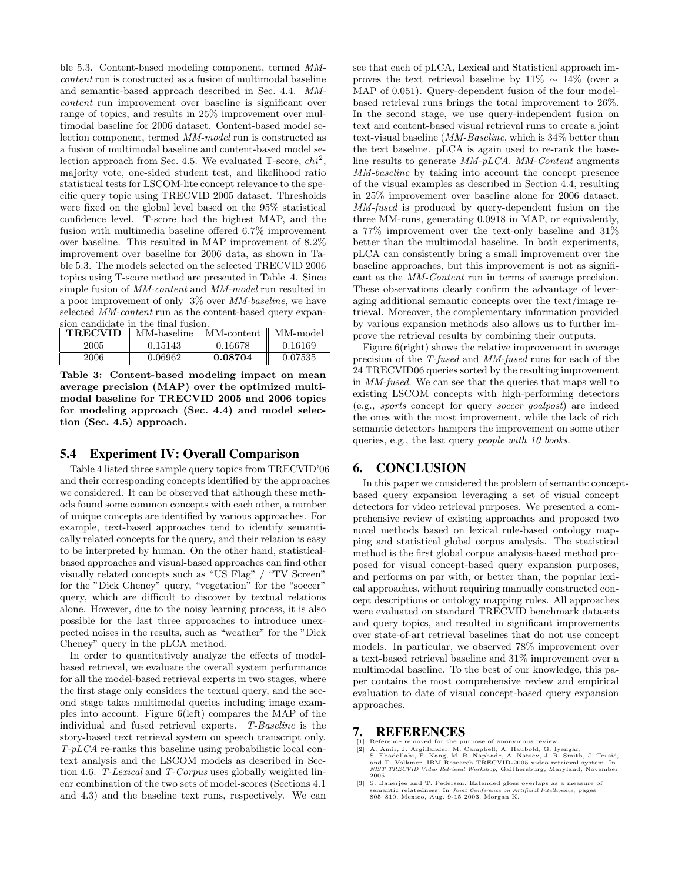ble 5.3. Content-based modeling component, termed MMcontent run is constructed as a fusion of multimodal baseline and semantic-based approach described in Sec. 4.4. MMcontent run improvement over baseline is significant over range of topics, and results in 25% improvement over multimodal baseline for 2006 dataset. Content-based model selection component, termed MM-model run is constructed as a fusion of multimodal baseline and content-based model selection approach from Sec. 4.5. We evaluated T-score,  $chi^2$ , majority vote, one-sided student test, and likelihood ratio statistical tests for LSCOM-lite concept relevance to the specific query topic using TRECVID 2005 dataset. Thresholds were fixed on the global level based on the 95% statistical confidence level. T-score had the highest MAP, and the fusion with multimedia baseline offered 6.7% improvement over baseline. This resulted in MAP improvement of 8.2% improvement over baseline for 2006 data, as shown in Table 5.3. The models selected on the selected TRECVID 2006 topics using T-score method are presented in Table 4. Since simple fusion of MM-content and MM-model run resulted in a poor improvement of only 3% over MM-baseline, we have selected MM-content run as the content-based query expansion candidate in the final fusion.

| <b>TRECVID</b> | oion cantuuttov ni viit mittä ruolon.<br>MM-baseline | MM-content | . MM-model |
|----------------|------------------------------------------------------|------------|------------|
| 2005           | 0.15143                                              | 0.16678    | 0.16169    |
| 2006           | 0.06962                                              | 0.08704    | 0.07535    |

Table 3: Content-based modeling impact on mean average precision (MAP) over the optimized multimodal baseline for TRECVID 2005 and 2006 topics for modeling approach (Sec. 4.4) and model selection (Sec. 4.5) approach.

# 5.4 Experiment IV: Overall Comparison

Table 4 listed three sample query topics from TRECVID'06 and their corresponding concepts identified by the approaches we considered. It can be observed that although these methods found some common concepts with each other, a number of unique concepts are identified by various approaches. For example, text-based approaches tend to identify semantically related concepts for the query, and their relation is easy to be interpreted by human. On the other hand, statisticalbased approaches and visual-based approaches can find other visually related concepts such as "US Flag" / "TV Screen" for the "Dick Cheney" query, "vegetation" for the "soccer" query, which are difficult to discover by textual relations alone. However, due to the noisy learning process, it is also possible for the last three approaches to introduce unexpected noises in the results, such as "weather" for the "Dick Cheney" query in the pLCA method.

In order to quantitatively analyze the effects of modelbased retrieval, we evaluate the overall system performance for all the model-based retrieval experts in two stages, where the first stage only considers the textual query, and the second stage takes multimodal queries including image examples into account. Figure 6(left) compares the MAP of the individual and fused retrieval experts. T-Baseline is the story-based text retrieval system on speech transcript only. T-pLCA re-ranks this baseline using probabilistic local context analysis and the LSCOM models as described in Section 4.6. T-Lexical and T-Corpus uses globally weighted linear combination of the two sets of model-scores (Sections 4.1 and 4.3) and the baseline text runs, respectively. We can see that each of pLCA, Lexical and Statistical approach improves the text retrieval baseline by 11%  $\sim$  14% (over a MAP of 0.051). Query-dependent fusion of the four modelbased retrieval runs brings the total improvement to 26%. In the second stage, we use query-independent fusion on text and content-based visual retrieval runs to create a joint text-visual baseline (MM-Baseline, which is 34% better than the text baseline. pLCA is again used to re-rank the baseline results to generate MM-pLCA. MM-Content augments MM-baseline by taking into account the concept presence of the visual examples as described in Section 4.4, resulting in 25% improvement over baseline alone for 2006 dataset. MM-fused is produced by query-dependent fusion on the three MM-runs, generating 0.0918 in MAP, or equivalently, a 77% improvement over the text-only baseline and 31% better than the multimodal baseline. In both experiments, pLCA can consistently bring a small improvement over the baseline approaches, but this improvement is not as significant as the MM-Content run in terms of average precision. These observations clearly confirm the advantage of leveraging additional semantic concepts over the text/image retrieval. Moreover, the complementary information provided by various expansion methods also allows us to further improve the retrieval results by combining their outputs.

Figure 6(right) shows the relative improvement in average precision of the T-fused and MM-fused runs for each of the 24 TRECVID06 queries sorted by the resulting improvement in MM-fused. We can see that the queries that maps well to existing LSCOM concepts with high-performing detectors (e.g., sports concept for query soccer goalpost) are indeed the ones with the most improvement, while the lack of rich semantic detectors hampers the improvement on some other queries, e.g., the last query people with 10 books.

# 6. CONCLUSION

In this paper we considered the problem of semantic conceptbased query expansion leveraging a set of visual concept detectors for video retrieval purposes. We presented a comprehensive review of existing approaches and proposed two novel methods based on lexical rule-based ontology mapping and statistical global corpus analysis. The statistical method is the first global corpus analysis-based method proposed for visual concept-based query expansion purposes, and performs on par with, or better than, the popular lexical approaches, without requiring manually constructed concept descriptions or ontology mapping rules. All approaches were evaluated on standard TRECVID benchmark datasets and query topics, and resulted in significant improvements over state-of-art retrieval baselines that do not use concept models. In particular, we observed 78% improvement over a text-based retrieval baseline and 31% improvement over a multimodal baseline. To the best of our knowledge, this paper contains the most comprehensive review and empirical evaluation to date of visual concept-based query expansion approaches.

# 7. REFERENCES

- (1) Reference removed for the purpose of anonymous review.<br>(2) A. Amir, J. Argillander, M. Campbell, A. Haubold, G. Iy
- [2] A. Amir, J. Argillander, M. Campbell, A. Haubold, G. Iyengar, S. Ebadollahi, F. Kang, M. R. Naphade, A. Natsev, J. R. Smith, J. Tevsi´c, and T. Volkmer. IBM Research TRECVID-2005 video retrieval system. In NIST TRECVID Video Retrieval Workshop, Gaithersburg, Maryland, November 2005.
- [3] S. Banerjee and T. Pedersen. Extended gloss overlaps as a measure of semantic relatedness. In Joint Conference on Artificial Intelligence, pages<br>805–810, Mexico, Aug. 9-15 2003. Morgan K.